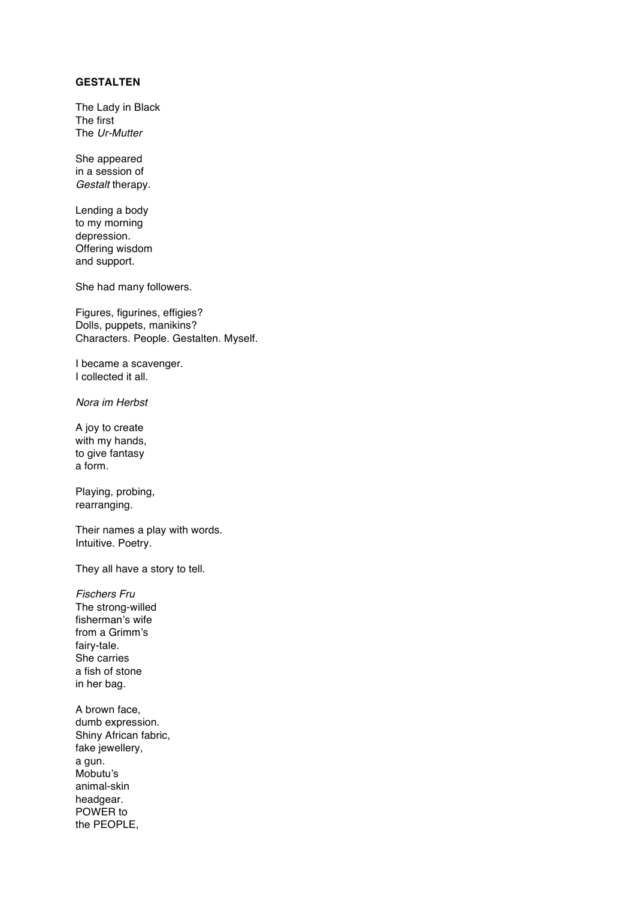## **GESTALTEN**

The Lady in Black The first The *Ur-Mutter*

She appeared in a session of *Gestalt* therapy.

Lending a body to my morning depression. Offering wisdom and support.

She had many followers.

Figures, figurines, effigies? Dolls, puppets, manikins? Characters. People. Gestalten. Myself.

I became a scavenger. I collected it all.

*Nora im Herbst*

A joy to create with my hands, to give fantasy a form.

Playing, probing, rearranging.

Their names a play with words. Intuitive. Poetry.

They all have a story to tell.

*Fischers Fru* The strong-willed fisherman's wife from a Grimm's fairy-tale. She carries a fish of stone in her bag.

A brown face, dumb expression. Shiny African fabric, fake jewellery, a gun. Mobutu's animal-skin headgear. POWER to the PEOPLE,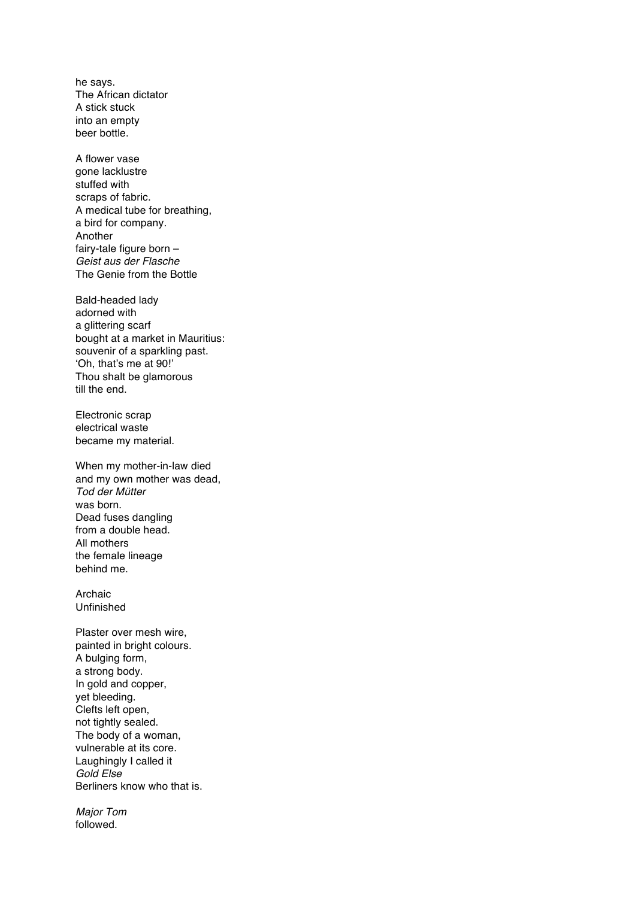he says. The African dictator A stick stuck into an empty beer bottle.

A flower vase gone lacklustre stuffed with scraps of fabric. A medical tube for breathing, a bird for company. Another fairy-tale figure born – *Geist aus der Flasche* The Genie from the Bottle

Bald-headed lady adorned with a glittering scarf bought at a market in Mauritius: souvenir of a sparkling past. 'Oh, that's me at 90!' Thou shalt be glamorous till the end.

Electronic scrap electrical waste became my material.

When my mother-in-law died and my own mother was dead, *Tod der Mütter* was born. Dead fuses dangling from a double head. All mothers the female lineage behind me.

Archaic Unfinished

Plaster over mesh wire, painted in bright colours. A bulging form, a strong body. In gold and copper, yet bleeding. Clefts left open, not tightly sealed. The body of a woman, vulnerable at its core. Laughingly I called it *Gold Else* Berliners know who that is.

*Major Tom* followed.